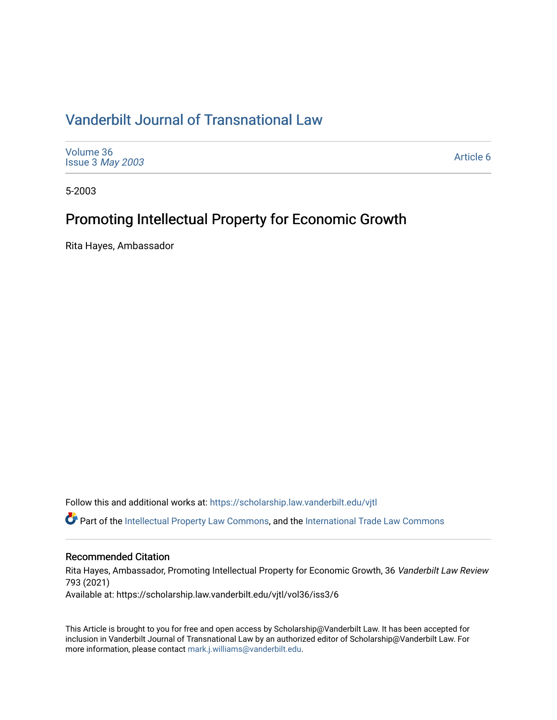# [Vanderbilt Journal of Transnational Law](https://scholarship.law.vanderbilt.edu/vjtl)

| <b>Issue 3 May 2003</b> | Volume 36 | Article 6 |
|-------------------------|-----------|-----------|
|-------------------------|-----------|-----------|

5-2003

# Promoting Intellectual Property for Economic Growth

Rita Hayes, Ambassador

Follow this and additional works at: [https://scholarship.law.vanderbilt.edu/vjtl](https://scholarship.law.vanderbilt.edu/vjtl?utm_source=scholarship.law.vanderbilt.edu%2Fvjtl%2Fvol36%2Fiss3%2F6&utm_medium=PDF&utm_campaign=PDFCoverPages) 

**C** Part of the [Intellectual Property Law Commons,](http://network.bepress.com/hgg/discipline/896?utm_source=scholarship.law.vanderbilt.edu%2Fvjtl%2Fvol36%2Fiss3%2F6&utm_medium=PDF&utm_campaign=PDFCoverPages) and the International Trade Law Commons

## Recommended Citation

Rita Hayes, Ambassador, Promoting Intellectual Property for Economic Growth, 36 Vanderbilt Law Review 793 (2021)

Available at: https://scholarship.law.vanderbilt.edu/vjtl/vol36/iss3/6

This Article is brought to you for free and open access by Scholarship@Vanderbilt Law. It has been accepted for inclusion in Vanderbilt Journal of Transnational Law by an authorized editor of Scholarship@Vanderbilt Law. For more information, please contact [mark.j.williams@vanderbilt.edu](mailto:mark.j.williams@vanderbilt.edu).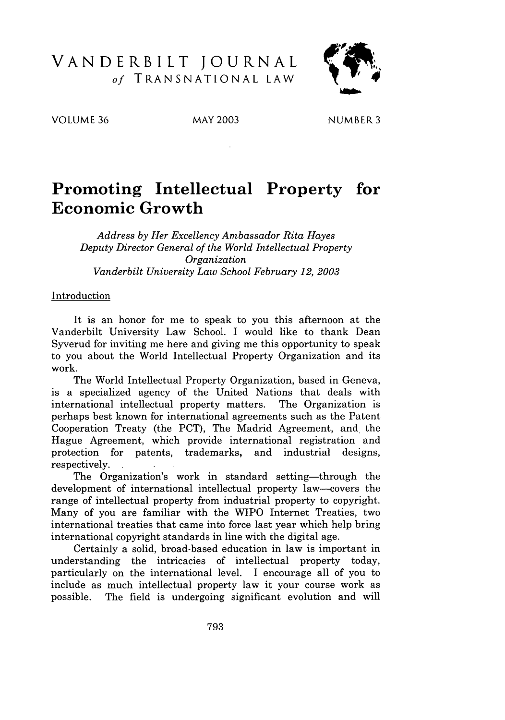## VANDERBILT **JOURNAL** *of* TRANSNATIONAL LAW



VOLUME 36 MAY 2003 NUMBER **3**

# **Promoting Intellectual Property for Economic Growth**

*Address by Her Excellency Ambassador Rita Hayes Deputy Director General of the World Intellectual Property Organization Vanderbilt University Law School February 12, 2003*

#### Introduction

It is an honor for me to speak to you this afternoon at the Vanderbilt University Law School. I would like to thank Dean Syverud for inviting me here and giving me this opportunity to speak to you about the World Intellectual Property Organization and its work.

The World Intellectual Property Organization, based in Geneva, is a specialized agency of the United Nations that deals with international intellectual property matters. The Organization is perhaps best known for international agreements such as the Patent Cooperation Treaty (the PCT), The Madrid Agreement, and the Hague Agreement, which provide international registration and protection for patents, trademarks, and industrial designs, respectively.

The Organization's work in standard setting-through the development of international intellectual property law--covers the range of intellectual property from industrial property to copyright. Many of you are familiar with the WIPO Internet Treaties, two international treaties that came into force last year which help bring international copyright standards in line with the digital age.

Certainly a solid, broad-based education in law is important in understanding the intricacies of intellectual property today, particularly on the international level. I encourage all of you to include as much intellectual property law it your course work as possible. The field is undergoing significant evolution and will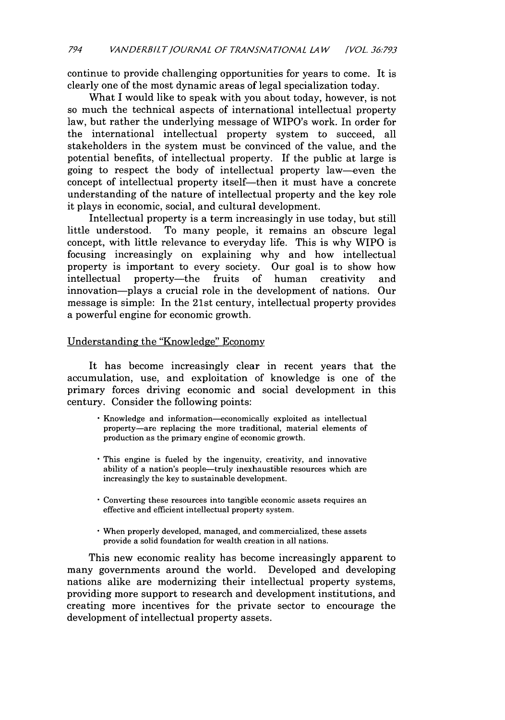continue to provide challenging opportunities for years to come. It is clearly one of the most dynamic areas of legal specialization today.

What I would like to speak with you about today, however, is not so much the technical aspects of international intellectual property law, but rather the underlying message of WIPO's work. In order for the international intellectual property system to succeed, all stakeholders in the system must be convinced of the value, and the potential benefits, of intellectual property. If the public at large is going to respect the body of intellectual property law-even the concept of intellectual property itself—then it must have a concrete understanding of the nature of intellectual property and the key role it plays in economic, social, and cultural development.

Intellectual property is a term increasingly in use today, but still little understood. To many people, it remains an obscure legal concept, with little relevance to everyday life. This is why WIPO is focusing increasingly on explaining why and how intellectual property is important to every society. Our goal is to show how intellectual property-the fruits of human creativity and innovation-plays a crucial role in the development of nations. Our message is simple: In the 21st century, intellectual property provides a powerful engine for economic growth.

#### Understanding the "Knowledge" Economy

It has become increasingly clear in recent years that the accumulation, use, and exploitation of knowledge is one of the primary forces driving economic and social development in this century. Consider the following points:

- Knowledge and information-economically exploited as intellectual property-are replacing the more traditional, material elements of production as the primary engine of economic growth.
- This engine is fueled by the ingenuity, creativity, and innovative ability of a nation's people—truly inexhaustible resources which are increasingly the key to sustainable development.
- Converting these resources into tangible economic assets requires an effective and efficient intellectual property system.
- When properly developed, managed, and commercialized, these assets provide a solid foundation for wealth creation in all nations.

This new economic reality has become increasingly apparent to many governments around the world. Developed and developing nations alike are modernizing their intellectual property systems, providing more support to research and development institutions, and creating more incentives for the private sector to encourage the development of intellectual property assets.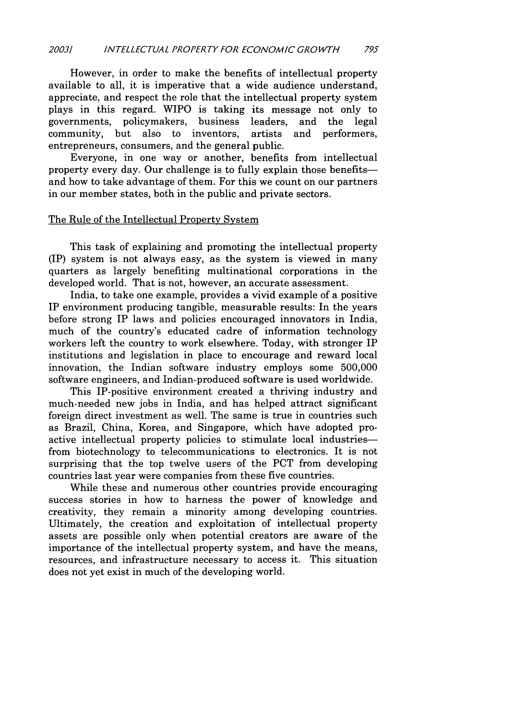However, in order to make the benefits of intellectual property available to all, it is imperative that a wide audience understand, appreciate, and respect the role that the intellectual property system plays in this regard. WIPO is taking its message not only to governments, policymakers, business leaders, and the legal community, but also to inventors, artists and performers, entrepreneurs, consumers, and the general public.

Everyone, in one way or another, benefits from intellectual property every day. Our challenge is to fully explain those benefitsand how to take advantage of them. For this we count on our partners in our member states, both in the public and private sectors.

#### The Rule of the Intellectual Property System

This task of explaining and promoting the intellectual property (IP) system is not always easy, as the system is viewed in many quarters as largely benefiting multinational corporations in the developed world. That is not, however, an accurate assessment.

India, to take one example, provides a vivid example of a positive IP environment producing tangible, measurable results: In the years before strong IP laws and policies encouraged innovators in India, much of the country's educated cadre of information technology workers left the country to work elsewhere. Today, with stronger IP institutions and legislation in place to encourage and reward local innovation, the Indian software industry employs some 500,000 software engineers, and Indian-produced software is used worldwide.

This IP-positive environment created a thriving industry and much-needed new jobs in India, and has helped attract significant foreign direct investment as well. The same is true in countries such as Brazil, China, Korea, and Singapore, which have adopted proactive intellectual property policies to stimulate local industriesfrom biotechnology to telecommunications to electronics. It is not surprising that the top twelve users of the PCT from developing countries last year were companies from these five countries.

While these and numerous other countries provide encouraging success stories in how to harness the power of knowledge and creativity, they remain a minority among developing countries. Ultimately, the creation and exploitation of intellectual property assets are possible only when potential creators are aware of the importance of the intellectual property system, and have the means, resources, and infrastructure necessary to access it. This situation does not yet exist in much of the developing world.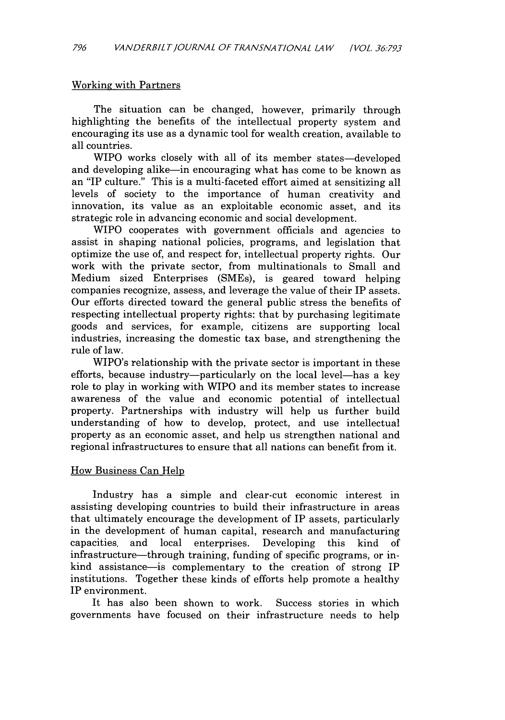#### Working with Partners

The situation can be changed, however, primarily through highlighting the benefits of the intellectual property system and encouraging its use as a dynamic tool for wealth creation, available to all countries.

WIPO works closely with all of its member states-developed and developing alike—in encouraging what has come to be known as an "IP culture." This is a multi-faceted effort aimed at sensitizing all levels of society to the importance of human creativity and innovation, its value as an exploitable economic asset, and its strategic role in advancing economic and social development.

WIPO cooperates with government officials and agencies to assist in shaping national policies, programs, and legislation that optimize the use of, and respect for, intellectual property rights. Our work with the private sector, from multinationals to Small and Medium sized Enterprises (SMEs), is geared toward helping companies recognize, assess, and leverage the value of their IP assets. Our efforts directed toward the general public stress the benefits of respecting intellectual property rights: that by purchasing legitimate goods and services, for example, citizens are supporting local industries, increasing the domestic tax base, and strengthening the rule of law.

WIPO's relationship with the private sector is important in these efforts, because industry—particularly on the local level—has a key role to play in working with WIPO and its member states to increase awareness of the value and economic potential of intellectual property. Partnerships with industry will help us further build understanding of how to develop, protect, and use intellectual property as an economic asset, and help us strengthen national and regional infrastructures to ensure that all nations can benefit from it.

#### How Business Can Help

Industry has a simple and clear-cut economic interest in assisting developing countries to build their infrastructure in areas that ultimately encourage the development of IP assets, particularly in the development of human capital, research and manufacturing capacities, and local enterprises. Developing this kind of infrastructure—through training, funding of specific programs, or inkind assistance-is complementary to the creation of strong IP institutions. Together these kinds of efforts help promote a healthy IP environment.

It has also been shown to work. Success stories in which governments have focused on their infrastructure needs to help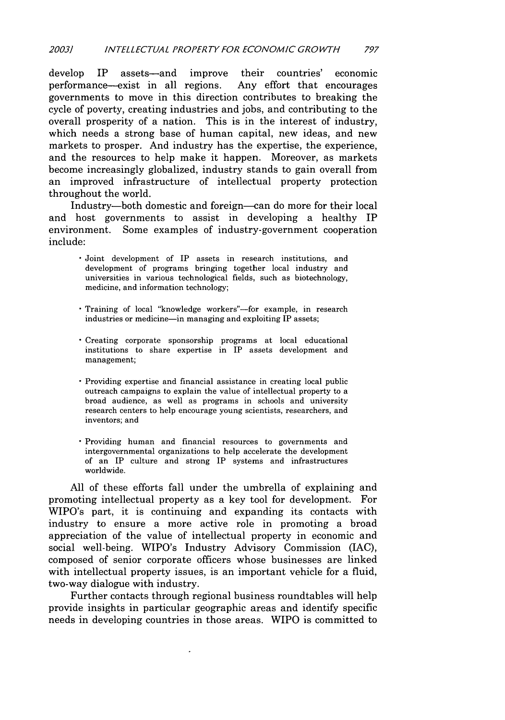develop IP assets-and improve their countries' economic performance-exist in all regions. Any effort that encourages governments to move in this direction contributes to breaking the cycle of poverty, creating industries and jobs, and contributing to the overall prosperity of a nation. This is in the interest of industry, which needs a strong base of human capital, new ideas, and new markets to prosper. And industry has the expertise, the experience, and the resources to help make it happen. Moreover, as markets become increasingly globalized, industry stands to gain overall from an improved infrastructure of intellectual property protection throughout the world.

Industry-both domestic and foreign-can do more for their local and host governments to assist in developing a healthy IP environment. Some examples of industry-government cooperation include:

- Joint development of IP assets in research institutions, and development of programs bringing together local industry and universities in various technological fields, such as biotechnology, medicine, and information technology;
- · Training of local "knowledge workers"-for example, in research industries or medicine-in managing and exploiting IP assets;
- \* Creating corporate sponsorship programs at local educational institutions to share expertise in IP assets development and management;
- Providing expertise and financial assistance in creating local public outreach campaigns to explain the value of intellectual property to a broad audience, as well as programs in schools and university research centers to help encourage young scientists, researchers, and inventors; and
- Providing human and financial resources to governments and intergovernmental organizations to help accelerate the development of an IP culture and strong IP systems and infrastructures worldwide.

All of these efforts fall under the umbrella of explaining and promoting intellectual property as a key tool for development. For WIPO's part, it is continuing and expanding its contacts with industry to ensure a more active role in promoting a broad appreciation of the value of intellectual property in economic and social well-being. WIPO's Industry Advisory Commission **(IAC),** composed of senior corporate officers whose businesses are linked with intellectual property issues, is an important vehicle for a fluid, two-way dialogue with industry.

Further contacts through regional business roundtables will help provide insights in particular geographic areas and identify specific needs in developing countries in those areas. WIPO is committed to